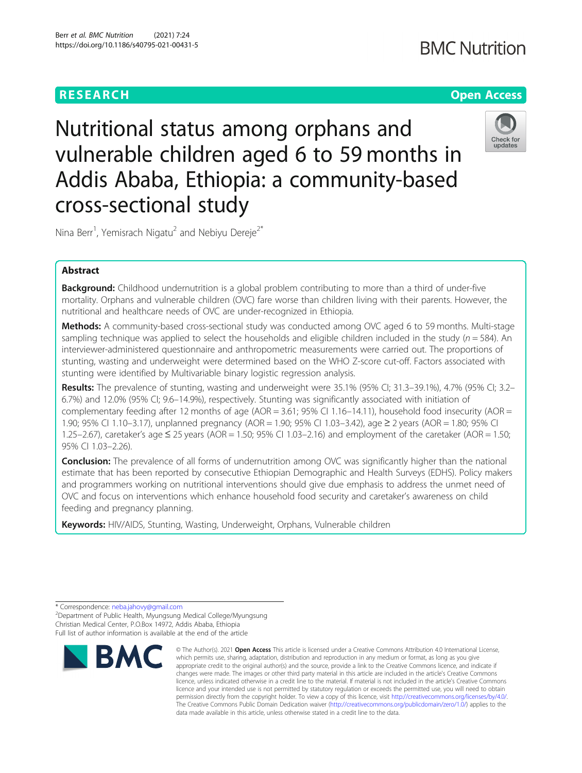# **RESEARCH CHE Open Access**

# **BMC Nutrition**



Nutritional status among orphans and vulnerable children aged 6 to 59 months in Addis Ababa, Ethiopia: a community-based cross-sectional study

Nina Berr<sup>1</sup>, Yemisrach Nigatu<sup>2</sup> and Nebiyu Dereje<sup>2\*</sup>

# Abstract

**Background:** Childhood undernutrition is a global problem contributing to more than a third of under-five mortality. Orphans and vulnerable children (OVC) fare worse than children living with their parents. However, the nutritional and healthcare needs of OVC are under-recognized in Ethiopia.

Methods: A community-based cross-sectional study was conducted among OVC aged 6 to 59 months. Multi-stage sampling technique was applied to select the households and eligible children included in the study ( $n = 584$ ). An interviewer-administered questionnaire and anthropometric measurements were carried out. The proportions of stunting, wasting and underweight were determined based on the WHO Z-score cut-off. Factors associated with stunting were identified by Multivariable binary logistic regression analysis.

Results: The prevalence of stunting, wasting and underweight were 35.1% (95% CI; 31.3–39.1%), 4.7% (95% CI; 3.2– 6.7%) and 12.0% (95% CI; 9.6–14.9%), respectively. Stunting was significantly associated with initiation of complementary feeding after 12 months of age (AOR =  $3.61$ ; 95% CI 1.16–14.11), household food insecurity (AOR = 1.90; 95% CI 1.10–3.17), unplanned pregnancy (AOR = 1.90; 95% CI 1.03–3.42), age ≥ 2 years (AOR = 1.80; 95% CI 1.25–2.67), caretaker's age ≤ 25 years (AOR = 1.50; 95% CI 1.03–2.16) and employment of the caretaker (AOR = 1.50; 95% CI 1.03–2.26).

**Conclusion:** The prevalence of all forms of undernutrition among OVC was significantly higher than the national estimate that has been reported by consecutive Ethiopian Demographic and Health Surveys (EDHS). Policy makers and programmers working on nutritional interventions should give due emphasis to address the unmet need of OVC and focus on interventions which enhance household food security and caretaker's awareness on child feeding and pregnancy planning.

Keywords: HIV/AIDS, Stunting, Wasting, Underweight, Orphans, Vulnerable children

Department of Public Health, Myungsung Medical College/Myungsung Christian Medical Center, P.O.Box 14972, Addis Ababa, Ethiopia Full list of author information is available at the end of the article



<sup>©</sup> The Author(s), 2021 **Open Access** This article is licensed under a Creative Commons Attribution 4.0 International License, which permits use, sharing, adaptation, distribution and reproduction in any medium or format, as long as you give appropriate credit to the original author(s) and the source, provide a link to the Creative Commons licence, and indicate if changes were made. The images or other third party material in this article are included in the article's Creative Commons licence, unless indicated otherwise in a credit line to the material. If material is not included in the article's Creative Commons licence and your intended use is not permitted by statutory regulation or exceeds the permitted use, you will need to obtain permission directly from the copyright holder. To view a copy of this licence, visit [http://creativecommons.org/licenses/by/4.0/.](http://creativecommons.org/licenses/by/4.0/) The Creative Commons Public Domain Dedication waiver [\(http://creativecommons.org/publicdomain/zero/1.0/](http://creativecommons.org/publicdomain/zero/1.0/)) applies to the data made available in this article, unless otherwise stated in a credit line to the data.

<sup>\*</sup> Correspondence: [neba.jahovy@gmail.com](mailto:neba.jahovy@gmail.com) <sup>2</sup>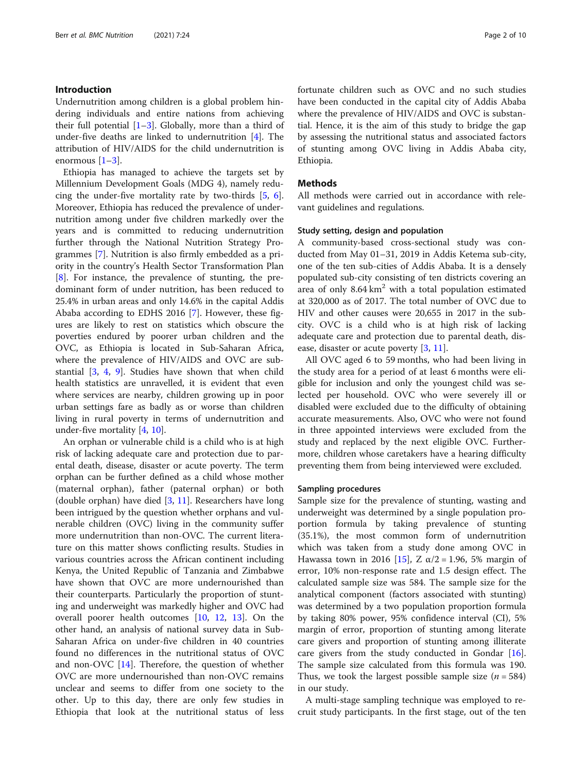# Introduction

Undernutrition among children is a global problem hindering individuals and entire nations from achieving their full potential  $[1-3]$  $[1-3]$  $[1-3]$  $[1-3]$ . Globally, more than a third of under-five deaths are linked to undernutrition [[4\]](#page-8-0). The attribution of HIV/AIDS for the child undernutrition is enormous [[1](#page-8-0)–[3\]](#page-8-0).

Ethiopia has managed to achieve the targets set by Millennium Development Goals (MDG 4), namely reducing the under-five mortality rate by two-thirds [[5,](#page-8-0) [6](#page-8-0)]. Moreover, Ethiopia has reduced the prevalence of undernutrition among under five children markedly over the years and is committed to reducing undernutrition further through the National Nutrition Strategy Programmes [\[7](#page-8-0)]. Nutrition is also firmly embedded as a priority in the country's Health Sector Transformation Plan [[8\]](#page-8-0). For instance, the prevalence of stunting, the predominant form of under nutrition, has been reduced to 25.4% in urban areas and only 14.6% in the capital Addis Ababa according to EDHS 2016 [\[7](#page-8-0)]. However, these figures are likely to rest on statistics which obscure the poverties endured by poorer urban children and the OVC, as Ethiopia is located in Sub-Saharan Africa, where the prevalence of HIV/AIDS and OVC are substantial [\[3](#page-8-0), [4](#page-8-0), [9](#page-8-0)]. Studies have shown that when child health statistics are unravelled, it is evident that even where services are nearby, children growing up in poor urban settings fare as badly as or worse than children living in rural poverty in terms of undernutrition and under-five mortality [[4,](#page-8-0) [10\]](#page-9-0).

An orphan or vulnerable child is a child who is at high risk of lacking adequate care and protection due to parental death, disease, disaster or acute poverty. The term orphan can be further defined as a child whose mother (maternal orphan), father (paternal orphan) or both (double orphan) have died [\[3](#page-8-0), [11](#page-9-0)]. Researchers have long been intrigued by the question whether orphans and vulnerable children (OVC) living in the community suffer more undernutrition than non-OVC. The current literature on this matter shows conflicting results. Studies in various countries across the African continent including Kenya, the United Republic of Tanzania and Zimbabwe have shown that OVC are more undernourished than their counterparts. Particularly the proportion of stunting and underweight was markedly higher and OVC had overall poorer health outcomes [\[10](#page-9-0), [12,](#page-9-0) [13\]](#page-9-0). On the other hand, an analysis of national survey data in Sub-Saharan Africa on under-five children in 40 countries found no differences in the nutritional status of OVC and non-OVC [[14](#page-9-0)]. Therefore, the question of whether OVC are more undernourished than non-OVC remains unclear and seems to differ from one society to the other. Up to this day, there are only few studies in Ethiopia that look at the nutritional status of less fortunate children such as OVC and no such studies have been conducted in the capital city of Addis Ababa where the prevalence of HIV/AIDS and OVC is substantial. Hence, it is the aim of this study to bridge the gap by assessing the nutritional status and associated factors of stunting among OVC living in Addis Ababa city, Ethiopia.

#### Methods

All methods were carried out in accordance with relevant guidelines and regulations.

#### Study setting, design and population

A community-based cross-sectional study was conducted from May 01–31, 2019 in Addis Ketema sub-city, one of the ten sub-cities of Addis Ababa. It is a densely populated sub-city consisting of ten districts covering an area of only  $8.64 \text{ km}^2$  with a total population estimated at 320,000 as of 2017. The total number of OVC due to HIV and other causes were 20,655 in 2017 in the subcity. OVC is a child who is at high risk of lacking adequate care and protection due to parental death, disease, disaster or acute poverty [[3,](#page-8-0) [11](#page-9-0)].

All OVC aged 6 to 59 months, who had been living in the study area for a period of at least 6 months were eligible for inclusion and only the youngest child was selected per household. OVC who were severely ill or disabled were excluded due to the difficulty of obtaining accurate measurements. Also, OVC who were not found in three appointed interviews were excluded from the study and replaced by the next eligible OVC. Furthermore, children whose caretakers have a hearing difficulty preventing them from being interviewed were excluded.

#### Sampling procedures

Sample size for the prevalence of stunting, wasting and underweight was determined by a single population proportion formula by taking prevalence of stunting (35.1%), the most common form of undernutrition which was taken from a study done among OVC in Hawassa town in 2016 [[15\]](#page-9-0), Z  $α/2 = 1.96$ , 5% margin of error, 10% non-response rate and 1.5 design effect. The calculated sample size was 584. The sample size for the analytical component (factors associated with stunting) was determined by a two population proportion formula by taking 80% power, 95% confidence interval (CI), 5% margin of error, proportion of stunting among literate care givers and proportion of stunting among illiterate care givers from the study conducted in Gondar [\[16](#page-9-0)]. The sample size calculated from this formula was 190. Thus, we took the largest possible sample size  $(n = 584)$ in our study.

A multi-stage sampling technique was employed to recruit study participants. In the first stage, out of the ten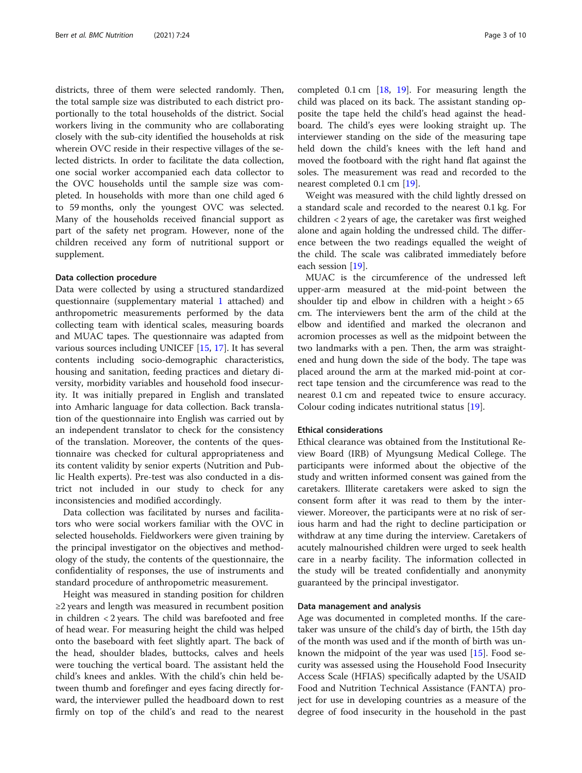districts, three of them were selected randomly. Then, the total sample size was distributed to each district proportionally to the total households of the district. Social workers living in the community who are collaborating closely with the sub-city identified the households at risk wherein OVC reside in their respective villages of the selected districts. In order to facilitate the data collection, one social worker accompanied each data collector to the OVC households until the sample size was completed. In households with more than one child aged 6 to 59 months, only the youngest OVC was selected. Many of the households received financial support as part of the safety net program. However, none of the children received any form of nutritional support or supplement.

#### Data collection procedure

Data were collected by using a structured standardized questionnaire (supplementary material [1](#page-8-0) attached) and anthropometric measurements performed by the data collecting team with identical scales, measuring boards and MUAC tapes. The questionnaire was adapted from various sources including UNICEF [\[15](#page-9-0), [17](#page-9-0)]. It has several contents including socio-demographic characteristics, housing and sanitation, feeding practices and dietary diversity, morbidity variables and household food insecurity. It was initially prepared in English and translated into Amharic language for data collection. Back translation of the questionnaire into English was carried out by an independent translator to check for the consistency of the translation. Moreover, the contents of the questionnaire was checked for cultural appropriateness and its content validity by senior experts (Nutrition and Public Health experts). Pre-test was also conducted in a district not included in our study to check for any inconsistencies and modified accordingly.

Data collection was facilitated by nurses and facilitators who were social workers familiar with the OVC in selected households. Fieldworkers were given training by the principal investigator on the objectives and methodology of the study, the contents of the questionnaire, the confidentiality of responses, the use of instruments and standard procedure of anthropometric measurement.

Height was measured in standing position for children ≥2 years and length was measured in recumbent position in children < 2 years. The child was barefooted and free of head wear. For measuring height the child was helped onto the baseboard with feet slightly apart. The back of the head, shoulder blades, buttocks, calves and heels were touching the vertical board. The assistant held the child's knees and ankles. With the child's chin held between thumb and forefinger and eyes facing directly forward, the interviewer pulled the headboard down to rest firmly on top of the child's and read to the nearest completed 0.1 cm [\[18](#page-9-0), [19\]](#page-9-0). For measuring length the child was placed on its back. The assistant standing opposite the tape held the child's head against the headboard. The child's eyes were looking straight up. The interviewer standing on the side of the measuring tape held down the child's knees with the left hand and moved the footboard with the right hand flat against the soles. The measurement was read and recorded to the nearest completed 0.1 cm [\[19\]](#page-9-0).

Weight was measured with the child lightly dressed on a standard scale and recorded to the nearest 0.1 kg. For children < 2 years of age, the caretaker was first weighed alone and again holding the undressed child. The difference between the two readings equalled the weight of the child. The scale was calibrated immediately before each session [\[19\]](#page-9-0).

MUAC is the circumference of the undressed left upper-arm measured at the mid-point between the shoulder tip and elbow in children with a height  $> 65$ cm. The interviewers bent the arm of the child at the elbow and identified and marked the olecranon and acromion processes as well as the midpoint between the two landmarks with a pen. Then, the arm was straightened and hung down the side of the body. The tape was placed around the arm at the marked mid-point at correct tape tension and the circumference was read to the nearest 0.1 cm and repeated twice to ensure accuracy. Colour coding indicates nutritional status [\[19](#page-9-0)].

#### Ethical considerations

Ethical clearance was obtained from the Institutional Review Board (IRB) of Myungsung Medical College. The participants were informed about the objective of the study and written informed consent was gained from the caretakers. Illiterate caretakers were asked to sign the consent form after it was read to them by the interviewer. Moreover, the participants were at no risk of serious harm and had the right to decline participation or withdraw at any time during the interview. Caretakers of acutely malnourished children were urged to seek health care in a nearby facility. The information collected in the study will be treated confidentially and anonymity guaranteed by the principal investigator.

#### Data management and analysis

Age was documented in completed months. If the caretaker was unsure of the child's day of birth, the 15th day of the month was used and if the month of birth was unknown the midpoint of the year was used [\[15](#page-9-0)]. Food security was assessed using the Household Food Insecurity Access Scale (HFIAS) specifically adapted by the USAID Food and Nutrition Technical Assistance (FANTA) project for use in developing countries as a measure of the degree of food insecurity in the household in the past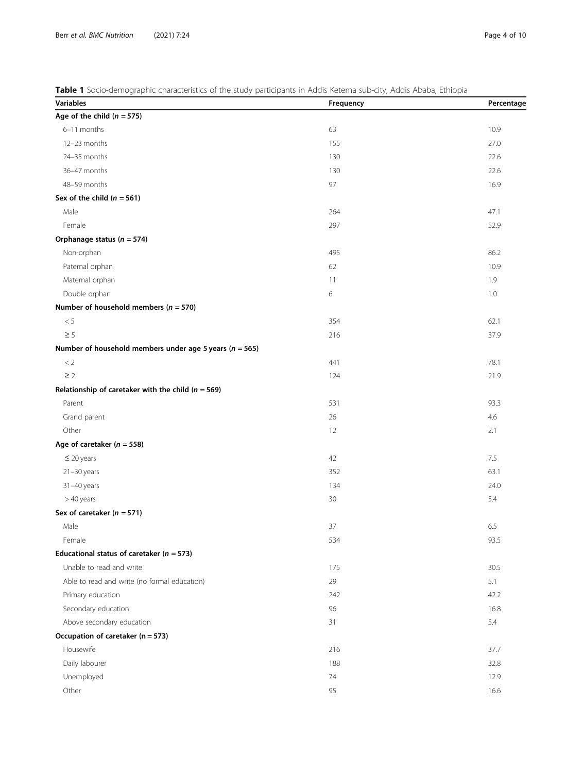# <span id="page-3-0"></span>Table 1 Socio-demographic characteristics of the study participants in Addis Ketema sub-city, Addis Ababa, Ethiopia

| <b>Variables</b>                                            | Frequency | Percentage |
|-------------------------------------------------------------|-----------|------------|
| Age of the child $(n = 575)$                                |           |            |
| 6-11 months                                                 | 63        | 10.9       |
| 12-23 months                                                | 155       | 27.0       |
| 24-35 months                                                | 130       | 22.6       |
| 36-47 months                                                | 130       | 22.6       |
| 48-59 months                                                | 97        | 16.9       |
| Sex of the child ( $n = 561$ )                              |           |            |
| Male                                                        | 264       | 47.1       |
| Female                                                      | 297       | 52.9       |
| Orphanage status ( $n = 574$ )                              |           |            |
| Non-orphan                                                  | 495       | 86.2       |
| Paternal orphan                                             | 62        | 10.9       |
| Maternal orphan                                             | 11        | 1.9        |
| Double orphan                                               | 6         | 1.0        |
| Number of household members ( $n = 570$ )                   |           |            |
| $< 5\,$                                                     | 354       | 62.1       |
| $\geq$ 5                                                    | 216       | 37.9       |
| Number of household members under age 5 years ( $n = 565$ ) |           |            |
| $\rm < 2$                                                   | 441       | 78.1       |
| $\geq$ 2                                                    | 124       | 21.9       |
| Relationship of caretaker with the child ( $n = 569$ )      |           |            |
| Parent                                                      | 531       | 93.3       |
| Grand parent                                                | 26        | 4.6        |
| Other                                                       | 12        | 2.1        |
| Age of caretaker ( $n = 558$ )                              |           |            |
| $\leq$ 20 years                                             | 42        | 7.5        |
| $21 - 30$ years                                             | 352       | 63.1       |
| 31-40 years                                                 | 134       | 24.0       |
| > 40 years                                                  | 30        | 5.4        |
| Sex of caretaker ( $n = 571$ )                              |           |            |
| Male                                                        | 37        | 6.5        |
| Female                                                      | 534       | 93.5       |
| Educational status of caretaker ( $n = 573$ )               |           |            |
| Unable to read and write                                    | 175       | 30.5       |
| Able to read and write (no formal education)                | 29        | 5.1        |
| Primary education                                           | 242       | 42.2       |
| Secondary education                                         | 96        | 16.8       |
| Above secondary education                                   | 31        | 5.4        |
| Occupation of caretaker (n = 573)                           |           |            |
| Housewife                                                   | 216       | 37.7       |
| Daily labourer                                              | 188       | 32.8       |
| Unemployed                                                  | 74        | 12.9       |
| Other                                                       | 95        | 16.6       |
|                                                             |           |            |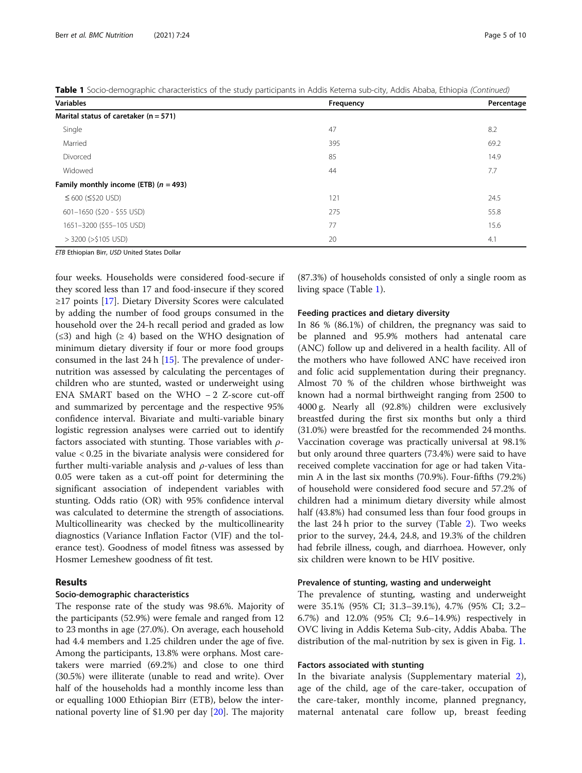| <b>Variables</b>                          | Frequency | Percentage |
|-------------------------------------------|-----------|------------|
| Marital status of caretaker ( $n = 571$ ) |           |            |
| Single                                    | 47        | 8.2        |
| Married                                   | 395       | 69.2       |
| Divorced                                  | 85        | 14.9       |
| Widowed                                   | 44        | 7.7        |
| Family monthly income (ETB) $(n = 493)$   |           |            |
| $≤ 600 (≤ 520 USD)$                       | 121       | 24.5       |
| 601-1650 (\$20 - \$55 USD)                | 275       | 55.8       |
| 1651-3200 (\$55-105 USD)                  | 77        | 15.6       |
| $>$ 3200 ( $>$ \$105 USD)                 | 20        | 4.1        |

Table 1 Socio-demographic characteristics of the study participants in Addis Ketema sub-city, Addis Ababa, Ethiopia (Continued)

ETB Ethiopian Birr, USD United States Dollar

four weeks. Households were considered food-secure if they scored less than 17 and food-insecure if they scored ≥17 points [[17\]](#page-9-0). Dietary Diversity Scores were calculated by adding the number of food groups consumed in the household over the 24-h recall period and graded as low  $(\leq 3)$  and high  $(\geq 4)$  based on the WHO designation of minimum dietary diversity if four or more food groups consumed in the last 24 h [\[15](#page-9-0)]. The prevalence of undernutrition was assessed by calculating the percentages of children who are stunted, wasted or underweight using ENA SMART based on the WHO − 2 Z-score cut-off and summarized by percentage and the respective 95% confidence interval. Bivariate and multi-variable binary logistic regression analyses were carried out to identify factors associated with stunting. Those variables with  $\rho$ value < 0.25 in the bivariate analysis were considered for further multi-variable analysis and  $\rho$ -values of less than 0.05 were taken as a cut-off point for determining the significant association of independent variables with stunting. Odds ratio (OR) with 95% confidence interval was calculated to determine the strength of associations. Multicollinearity was checked by the multicollinearity diagnostics (Variance Inflation Factor (VIF) and the tolerance test). Goodness of model fitness was assessed by Hosmer Lemeshew goodness of fit test.

# Results

# Socio-demographic characteristics

The response rate of the study was 98.6%. Majority of the participants (52.9%) were female and ranged from 12 to 23 months in age (27.0%). On average, each household had 4.4 members and 1.25 children under the age of five. Among the participants, 13.8% were orphans. Most caretakers were married (69.2%) and close to one third (30.5%) were illiterate (unable to read and write). Over half of the households had a monthly income less than or equalling 1000 Ethiopian Birr (ETB), below the international poverty line of \$1.90 per day [[20](#page-9-0)]. The majority

(87.3%) of households consisted of only a single room as living space (Table [1](#page-3-0)).

#### Feeding practices and dietary diversity

In 86 % (86.1%) of children, the pregnancy was said to be planned and 95.9% mothers had antenatal care (ANC) follow up and delivered in a health facility. All of the mothers who have followed ANC have received iron and folic acid supplementation during their pregnancy. Almost 70 % of the children whose birthweight was known had a normal birthweight ranging from 2500 to 4000 g. Nearly all (92.8%) children were exclusively breastfed during the first six months but only a third (31.0%) were breastfed for the recommended 24 months. Vaccination coverage was practically universal at 98.1% but only around three quarters (73.4%) were said to have received complete vaccination for age or had taken Vitamin A in the last six months (70.9%). Four-fifths (79.2%) of household were considered food secure and 57.2% of children had a minimum dietary diversity while almost half (43.8%) had consumed less than four food groups in the last 24 h prior to the survey (Table [2\)](#page-5-0). Two weeks prior to the survey, 24.4, 24.8, and 19.3% of the children had febrile illness, cough, and diarrhoea. However, only six children were known to be HIV positive.

#### Prevalence of stunting, wasting and underweight

The prevalence of stunting, wasting and underweight were 35.1% (95% CI; 31.3–39.1%), 4.7% (95% CI; 3.2– 6.7%) and 12.0% (95% CI; 9.6–14.9%) respectively in OVC living in Addis Ketema Sub-city, Addis Ababa. The distribution of the mal-nutrition by sex is given in Fig. [1.](#page-6-0)

#### Factors associated with stunting

In the bivariate analysis (Supplementary material [2](#page-8-0)), age of the child, age of the care-taker, occupation of the care-taker, monthly income, planned pregnancy, maternal antenatal care follow up, breast feeding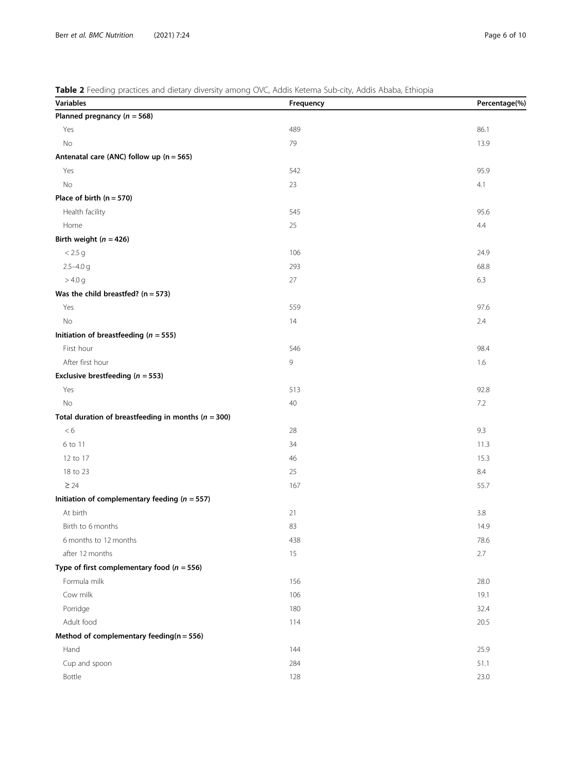# <span id="page-5-0"></span>Table 2 Feeding practices and dietary diversity among OVC, Addis Ketema Sub-city, Addis Ababa, Ethiopia

| Variables                                               | Frequency | Percentage(%) |
|---------------------------------------------------------|-----------|---------------|
| Planned pregnancy ( $n = 568$ )                         |           |               |
| Yes                                                     | 489       | 86.1          |
| No                                                      | 79        | 13.9          |
| Antenatal care (ANC) follow up (n = 565)                |           |               |
| Yes                                                     | 542       | 95.9          |
| No                                                      | 23        | 4.1           |
| Place of birth $(n = 570)$                              |           |               |
| Health facility                                         | 545       | 95.6          |
| Home                                                    | 25        | 4.4           |
| Birth weight ( $n = 426$ )                              |           |               |
| < 2.5 g                                                 | 106       | 24.9          |
| $2.5 - 4.0$ g                                           | 293       | 68.8          |
| > 4.0 g                                                 | 27        | 6.3           |
| Was the child breastfed? ( $n = 573$ )                  |           |               |
| Yes                                                     | 559       | 97.6          |
| No                                                      | 14        | 2.4           |
| Initiation of breastfeeding ( $n = 555$ )               |           |               |
| First hour                                              | 546       | 98.4          |
| After first hour                                        | 9         | 1.6           |
| Exclusive brestfeeding ( $n = 553$ )                    |           |               |
| Yes                                                     | 513       | 92.8          |
| No                                                      | 40        | 7.2           |
| Total duration of breastfeeding in months ( $n = 300$ ) |           |               |
| < 6                                                     | 28        | 9.3           |
| 6 to 11                                                 | 34        | 11.3          |
| 12 to 17                                                | 46        | 15.3          |
| 18 to 23                                                | 25        | 8.4           |
| $\geq 24$                                               | 167       | 55.7          |
| Initiation of complementary feeding ( $n = 557$ )       |           |               |
| At birth                                                | 21        | 3.8           |
| Birth to 6 months                                       | 83        | 14.9          |
| 6 months to 12 months                                   | 438       | 78.6          |
| after 12 months                                         | 15        | 2.7           |
| Type of first complementary food ( $n = 556$ )          |           |               |
| Formula milk                                            | 156       | 28.0          |
| Cow milk                                                | 106       | 19.1          |
| Porridge                                                | 180       | 32.4          |
| Adult food                                              | 114       | 20.5          |
| Method of complementary feeding( $n = 556$ )            |           |               |
| Hand                                                    | 144       | 25.9          |
| Cup and spoon                                           | 284       | 51.1          |
| Bottle                                                  | 128       | 23.0          |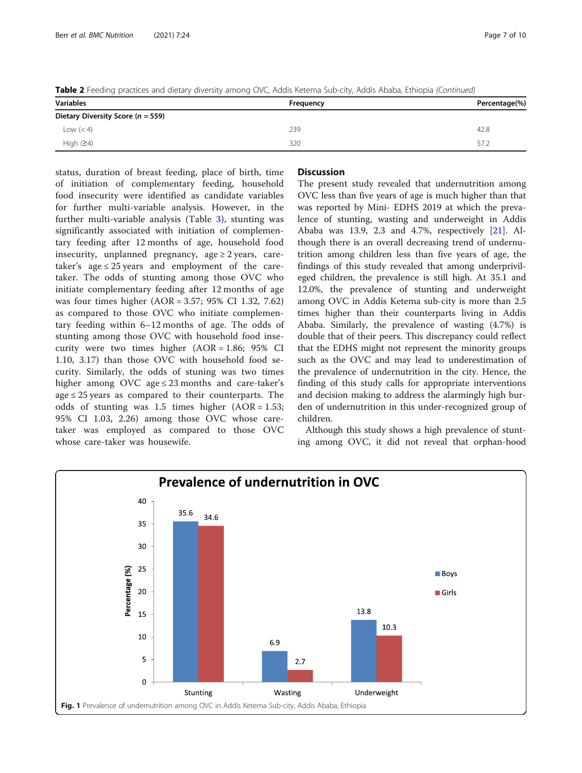<span id="page-6-0"></span>Table 2 Feeding practices and dietary diversity among OVC, Addis Ketema Sub-city, Addis Ababa, Ethiopia (Continued)

| <b>Variables</b>                      | Frequency | Percentage(%) |  |  |
|---------------------------------------|-----------|---------------|--|--|
| Dietary Diversity Score ( $n = 559$ ) |           |               |  |  |
| Low $(< 4)$                           | 239       | 42.8          |  |  |
| High $(24)$                           | 320       | 57.2          |  |  |

status, duration of breast feeding, place of birth, time of initiation of complementary feeding, household food insecurity were identified as candidate variables for further multi-variable analysis. However, in the further multi-variable analysis (Table [3](#page-7-0)), stunting was significantly associated with initiation of complementary feeding after 12 months of age, household food insecurity, unplanned pregnancy, age  $\geq 2$  years, caretaker's age ≤ 25 years and employment of the caretaker. The odds of stunting among those OVC who initiate complementary feeding after 12 months of age was four times higher (AOR = 3.57; 95% CI 1.32, 7.62) as compared to those OVC who initiate complementary feeding within 6–12 months of age. The odds of stunting among those OVC with household food insecurity were two times higher  $(AOR = 1.86; 95\% \text{ CI})$ 1.10, 3.17) than those OVC with household food security. Similarly, the odds of stuning was two times higher among OVC age  $\leq$  23 months and care-taker's  $age \leq 25$  years as compared to their counterparts. The odds of stunting was  $1.5$  times higher  $(AOR = 1.53;$ 95% CI 1.03, 2.26) among those OVC whose caretaker was employed as compared to those OVC whose care-taker was housewife.

# **Discussion**

The present study revealed that undernutrition among OVC less than five years of age is much higher than that was reported by Mini- EDHS 2019 at which the prevalence of stunting, wasting and underweight in Addis Ababa was 13.9, 2.3 and 4.7%, respectively [\[21](#page-9-0)]. Although there is an overall decreasing trend of undernutrition among children less than five years of age, the findings of this study revealed that among underprivileged children, the prevalence is still high. At 35.1 and 12.0%, the prevalence of stunting and underweight among OVC in Addis Ketema sub-city is more than 2.5 times higher than their counterparts living in Addis Ababa. Similarly, the prevalence of wasting (4.7%) is double that of their peers. This discrepancy could reflect that the EDHS might not represent the minority groups such as the OVC and may lead to underestimation of the prevalence of undernutrition in the city. Hence, the finding of this study calls for appropriate interventions and decision making to address the alarmingly high burden of undernutrition in this under-recognized group of children.

Although this study shows a high prevalence of stunting among OVC, it did not reveal that orphan-hood

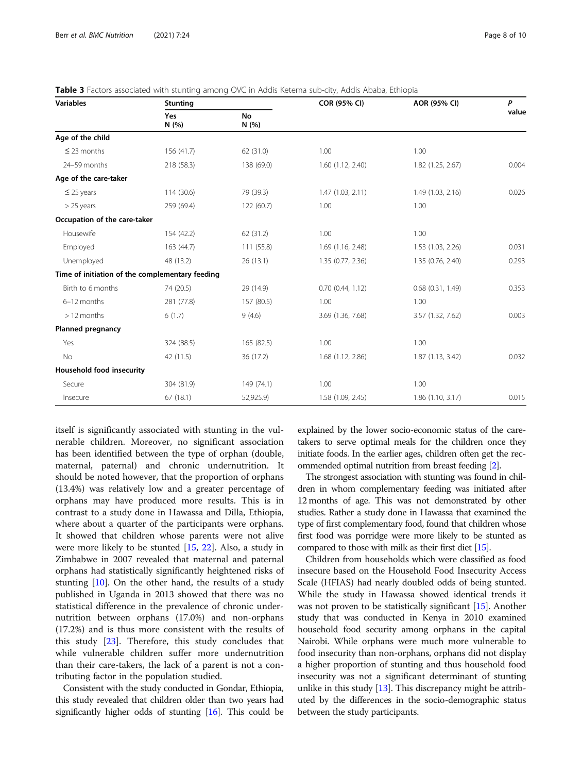<span id="page-7-0"></span>

|  | Table 3 Factors associated with stunting among OVC in Addis Ketema sub-city, Addis Ababa, Ethiopia |  |  |  |  |  |  |
|--|----------------------------------------------------------------------------------------------------|--|--|--|--|--|--|
|  |                                                                                                    |  |  |  |  |  |  |

| <b>Variables</b>                                | <b>Stunting</b> |                    | COR (95% CI)      | AOR (95% CI)          | P<br>value |
|-------------------------------------------------|-----------------|--------------------|-------------------|-----------------------|------------|
|                                                 | Yes<br>N (%)    | <b>No</b><br>N (%) |                   |                       |            |
| Age of the child                                |                 |                    |                   |                       |            |
| $\leq$ 23 months                                | 156 (41.7)      | 62 (31.0)          | 1.00              | 1.00                  |            |
| 24-59 months                                    | 218 (58.3)      | 138 (69.0)         | 1.60(1.12, 2.40)  | 1.82 (1.25, 2.67)     | 0.004      |
| Age of the care-taker                           |                 |                    |                   |                       |            |
| $\leq$ 25 years                                 | 114(30.6)       | 79 (39.3)          | 1.47(1.03, 2.11)  | 1.49 (1.03, 2.16)     | 0.026      |
| $>$ 25 years                                    | 259 (69.4)      | 122(60.7)          | 1.00              | 1.00                  |            |
| Occupation of the care-taker                    |                 |                    |                   |                       |            |
| Housewife                                       | 154 (42.2)      | 62 (31.2)          | 1.00              | 1.00                  |            |
| Employed                                        | 163 (44.7)      | 111 (55.8)         | 1.69 (1.16, 2.48) | 1.53 (1.03, 2.26)     | 0.031      |
| Unemployed                                      | 48 (13.2)       | 26(13.1)           | 1.35 (0.77, 2.36) | 1.35 (0.76, 2.40)     | 0.293      |
| Time of initiation of the complementary feeding |                 |                    |                   |                       |            |
| Birth to 6 months                               | 74 (20.5)       | 29 (14.9)          | 0.70(0.44, 1.12)  | $0.68$ $(0.31, 1.49)$ | 0.353      |
| 6-12 months                                     | 281 (77.8)      | 157 (80.5)         | 1.00              | 1.00                  |            |
| > 12 months<br>6(1.7)                           |                 | 9(4.6)             | 3.69 (1.36, 7.68) | 3.57 (1.32, 7.62)     | 0.003      |
| <b>Planned pregnancy</b>                        |                 |                    |                   |                       |            |
| Yes                                             | 324 (88.5)      | 165 (82.5)         | 1.00              | 1.00                  |            |
| No                                              | 42 (11.5)       | 36 (17.2)          | 1.68 (1.12, 2.86) | 1.87(1.13, 3.42)      | 0.032      |
| Household food insecurity                       |                 |                    |                   |                       |            |
| Secure                                          | 304 (81.9)      | 149(74.1)          | 1.00              | 1.00                  |            |
| Insecure                                        | 67(18.1)        | 52,925.9)          | 1.58 (1.09, 2.45) | 1.86 (1.10, 3.17)     | 0.015      |

itself is significantly associated with stunting in the vulnerable children. Moreover, no significant association has been identified between the type of orphan (double, maternal, paternal) and chronic undernutrition. It should be noted however, that the proportion of orphans (13.4%) was relatively low and a greater percentage of orphans may have produced more results. This is in contrast to a study done in Hawassa and Dilla, Ethiopia, where about a quarter of the participants were orphans. It showed that children whose parents were not alive were more likely to be stunted [\[15,](#page-9-0) [22](#page-9-0)]. Also, a study in Zimbabwe in 2007 revealed that maternal and paternal orphans had statistically significantly heightened risks of stunting [\[10](#page-9-0)]. On the other hand, the results of a study published in Uganda in 2013 showed that there was no statistical difference in the prevalence of chronic undernutrition between orphans (17.0%) and non-orphans (17.2%) and is thus more consistent with the results of this study  $[23]$  $[23]$ . Therefore, this study concludes that while vulnerable children suffer more undernutrition than their care-takers, the lack of a parent is not a contributing factor in the population studied.

Consistent with the study conducted in Gondar, Ethiopia, this study revealed that children older than two years had significantly higher odds of stunting [\[16\]](#page-9-0). This could be

explained by the lower socio-economic status of the caretakers to serve optimal meals for the children once they initiate foods. In the earlier ages, children often get the recommended optimal nutrition from breast feeding [\[2](#page-8-0)].

The strongest association with stunting was found in children in whom complementary feeding was initiated after 12 months of age. This was not demonstrated by other studies. Rather a study done in Hawassa that examined the type of first complementary food, found that children whose first food was porridge were more likely to be stunted as compared to those with milk as their first diet [\[15\]](#page-9-0).

Children from households which were classified as food insecure based on the Household Food Insecurity Access Scale (HFIAS) had nearly doubled odds of being stunted. While the study in Hawassa showed identical trends it was not proven to be statistically significant [\[15\]](#page-9-0). Another study that was conducted in Kenya in 2010 examined household food security among orphans in the capital Nairobi. While orphans were much more vulnerable to food insecurity than non-orphans, orphans did not display a higher proportion of stunting and thus household food insecurity was not a significant determinant of stunting unlike in this study [\[13\]](#page-9-0). This discrepancy might be attributed by the differences in the socio-demographic status between the study participants.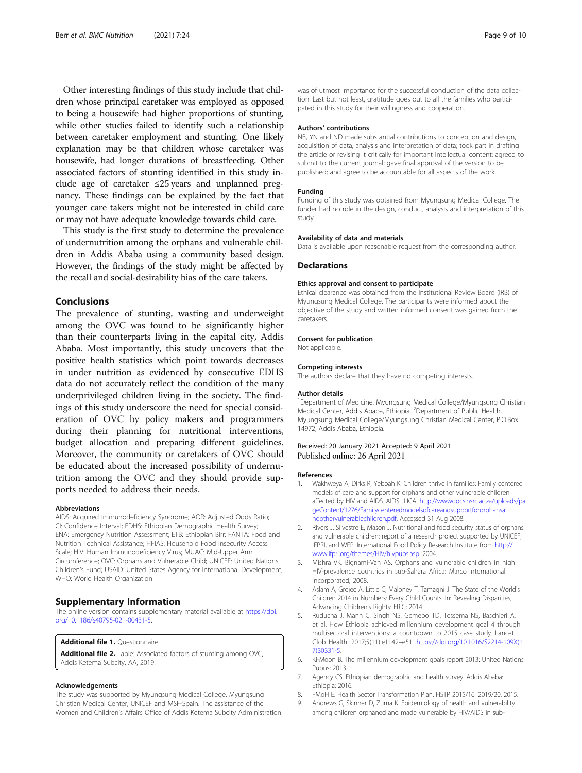<span id="page-8-0"></span>Other interesting findings of this study include that children whose principal caretaker was employed as opposed to being a housewife had higher proportions of stunting, while other studies failed to identify such a relationship between caretaker employment and stunting. One likely explanation may be that children whose caretaker was housewife, had longer durations of breastfeeding. Other associated factors of stunting identified in this study include age of caretaker ≤25 years and unplanned pregnancy. These findings can be explained by the fact that younger care takers might not be interested in child care or may not have adequate knowledge towards child care.

This study is the first study to determine the prevalence of undernutrition among the orphans and vulnerable children in Addis Ababa using a community based design. However, the findings of the study might be affected by the recall and social-desirability bias of the care takers.

### Conclusions

The prevalence of stunting, wasting and underweight among the OVC was found to be significantly higher than their counterparts living in the capital city, Addis Ababa. Most importantly, this study uncovers that the positive health statistics which point towards decreases in under nutrition as evidenced by consecutive EDHS data do not accurately reflect the condition of the many underprivileged children living in the society. The findings of this study underscore the need for special consideration of OVC by policy makers and programmers during their planning for nutritional interventions, budget allocation and preparing different guidelines. Moreover, the community or caretakers of OVC should be educated about the increased possibility of undernutrition among the OVC and they should provide supports needed to address their needs.

#### Abbreviations

AIDS: Acquired Immunodeficiency Syndrome; AOR: Adjusted Odds Ratio; CI: Confidence Interval; EDHS: Ethiopian Demographic Health Survey; ENA: Emergency Nutrition Assessment; ETB: Ethiopian Birr; FANTA: Food and Nutrition Technical Assistance; HFIAS: Household Food Insecurity Access Scale; HIV: Human Immunodeficiency Virus; MUAC: Mid-Upper Arm Circumference; OVC: Orphans and Vulnerable Child; UNICEF: United Nations Children's Fund; USAID: United States Agency for International Development; WHO: World Health Organization

#### Supplementary Information

The online version contains supplementary material available at [https://doi.](https://doi.org/10.1186/s40795-021-00431-5) [org/10.1186/s40795-021-00431-5.](https://doi.org/10.1186/s40795-021-00431-5)

#### Additional file 1. Questionnaire.

Additional file 2. Table: Associated factors of stunting among OVC, Addis Ketema Subcity, AA, 2019.

#### Acknowledgements

The study was supported by Myungsung Medical College, Myungsung Christian Medical Center, UNICEF and MSF-Spain. The assistance of the Women and Children's Affairs Office of Addis Ketema Subcity Administration

was of utmost importance for the successful conduction of the data collection. Last but not least, gratitude goes out to all the families who participated in this study for their willingness and cooperation.

#### Authors' contributions

NB, YN and ND made substantial contributions to conception and design, acquisition of data, analysis and interpretation of data; took part in drafting the article or revising it critically for important intellectual content; agreed to submit to the current journal; gave final approval of the version to be published; and agree to be accountable for all aspects of the work.

#### Funding

Funding of this study was obtained from Myungsung Medical College. The funder had no role in the design, conduct, analysis and interpretation of this study.

#### Availability of data and materials

Data is available upon reasonable request from the corresponding author.

#### **Declarations**

#### Ethics approval and consent to participate

Ethical clearance was obtained from the Institutional Review Board (IRB) of Myungsung Medical College. The participants were informed about the objective of the study and written informed consent was gained from the caretakers.

#### Consent for publication

Not applicable.

#### Competing interests

The authors declare that they have no competing interests.

#### Author details

<sup>1</sup>Department of Medicine, Myungsung Medical College/Myungsung Christian Medical Center, Addis Ababa, Ethiopia. <sup>2</sup>Department of Public Health Myungsung Medical College/Myungsung Christian Medical Center, P.O.Box 14972, Addis Ababa, Ethiopia.

#### Received: 20 January 2021 Accepted: 9 April 2021 Published online: 26 April 2021

#### References

- 1. Wakhweya A, Dirks R, Yeboah K. Children thrive in families: Family centered models of care and support for orphans and other vulnerable children affected by HIV and AIDS. AIDS JLICA. [http://wwwdocs.hsrc.ac.za/uploads/pa](http://wwwdocs.hsrc.ac.za/uploads/pageContent/1276/Familycenteredmodelsofcareandsupportfororphansandothervulnerablechildren.pdf) [geContent/1276/Familycenteredmodelsofcareandsupportfororphansa](http://wwwdocs.hsrc.ac.za/uploads/pageContent/1276/Familycenteredmodelsofcareandsupportfororphansandothervulnerablechildren.pdf) [ndothervulnerablechildren.pdf.](http://wwwdocs.hsrc.ac.za/uploads/pageContent/1276/Familycenteredmodelsofcareandsupportfororphansandothervulnerablechildren.pdf) Accessed 31 Aug 2008.
- 2. Rivers J, Silvestre E, Mason J. Nutritional and food security status of orphans and vulnerable children: report of a research project supported by UNICEF, IFPRI, and WFP. International Food Policy Research Institute from [http://](http://www.ifpri.org/themes/HIV/hivpubs.asp) [www.ifpri.org/themes/HIV/hivpubs.asp](http://www.ifpri.org/themes/HIV/hivpubs.asp). 2004.
- 3. Mishra VK, Bignami-Van AS. Orphans and vulnerable children in high HIV-prevalence countries in sub-Sahara Africa: Marco International incorporated; 2008.
- 4. Aslam A, Grojec A, Little C, Maloney T, Tamagni J. The State of the World's Children 2014 in Numbers: Every Child Counts. In: Revealing Disparities, Advancing Children's Rights: ERIC; 2014.
- Ruducha J, Mann C, Singh NS, Gemebo TD, Tessema NS, Baschieri A, et al. How Ethiopia achieved millennium development goal 4 through multisectoral interventions: a countdown to 2015 case study. Lancet Glob Health. 2017;5(11):e1142–e51. [https://doi.org/10.1016/S2214-109X\(1](https://doi.org/10.1016/S2214-109X(17)30331-5) [7\)30331-5](https://doi.org/10.1016/S2214-109X(17)30331-5).
- 6. Ki-Moon B. The millennium development goals report 2013: United Nations Pubns; 2013.
- 7. Agency CS. Ethiopian demographic and health survey. Addis Ababa: Ethiopia; 2016.
- 8. FMoH E. Health Sector Transformation Plan. HSTP 2015/16–2019/20. 2015.
- 9. Andrews G, Skinner D, Zuma K. Epidemiology of health and vulnerability among children orphaned and made vulnerable by HIV/AIDS in sub-